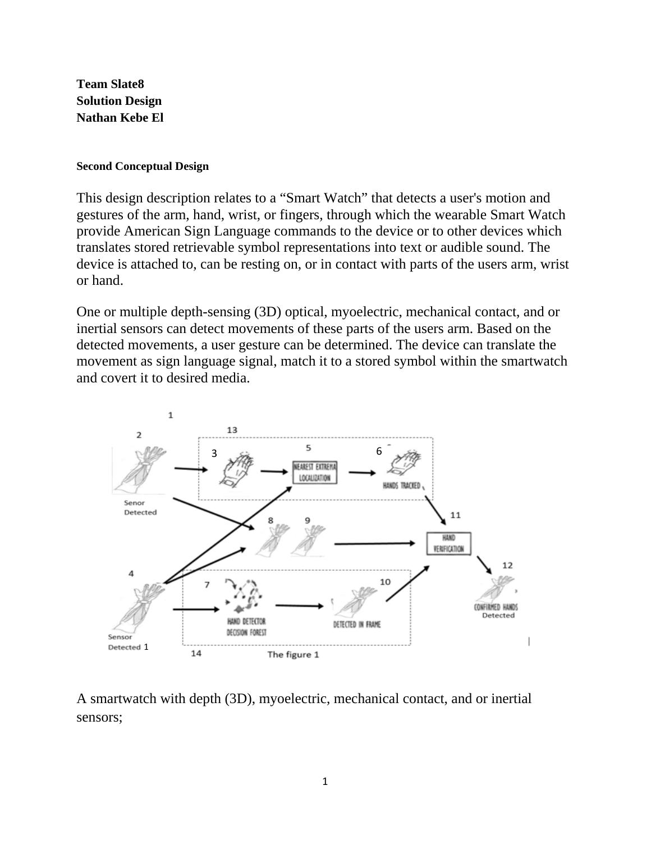**Team Slate8 Solution Design Nathan Kebe El** 

## **Second Conceptual Design**

This design description relates to a "Smart Watch" that detects a user's motion and gestures of the arm, hand, wrist, or fingers, through which the wearable Smart Watch provide American Sign Language commands to the device or to other devices which translates stored retrievable symbol representations into text or audible sound. The device is attached to, can be resting on, or in contact with parts of the users arm, wrist or hand.

One or multiple depth-sensing (3D) optical, myoelectric, mechanical contact, and or inertial sensors can detect movements of these parts of the users arm. Based on the detected movements, a user gesture can be determined. The device can translate the movement as sign language signal, match it to a stored symbol within the smartwatch and covert it to desired media.



A smartwatch with depth (3D), myoelectric, mechanical contact, and or inertial sensors;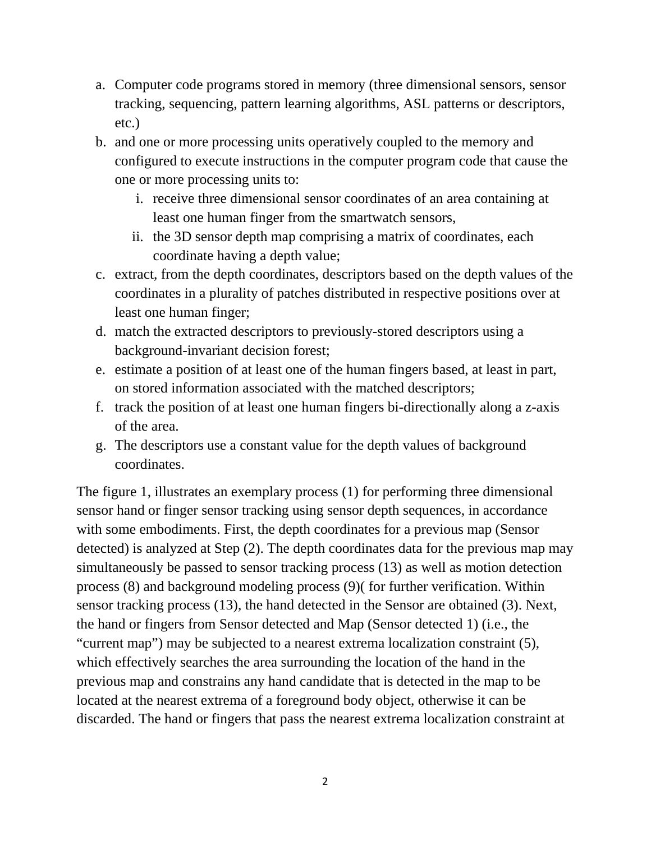- a. Computer code programs stored in memory (three dimensional sensors, sensor tracking, sequencing, pattern learning algorithms, ASL patterns or descriptors, etc.)
- b. and one or more processing units operatively coupled to the memory and configured to execute instructions in the computer program code that cause the one or more processing units to:
	- i. receive three dimensional sensor coordinates of an area containing at least one human finger from the smartwatch sensors,
	- ii. the 3D sensor depth map comprising a matrix of coordinates, each coordinate having a depth value;
- c. extract, from the depth coordinates, descriptors based on the depth values of the coordinates in a plurality of patches distributed in respective positions over at least one human finger;
- d. match the extracted descriptors to previously-stored descriptors using a background-invariant decision forest;
- e. estimate a position of at least one of the human fingers based, at least in part, on stored information associated with the matched descriptors;
- f. track the position of at least one human fingers bi-directionally along a z-axis of the area.
- g. The descriptors use a constant value for the depth values of background coordinates.

The figure 1, illustrates an exemplary process (1) for performing three dimensional sensor hand or finger sensor tracking using sensor depth sequences, in accordance with some embodiments. First, the depth coordinates for a previous map (Sensor detected) is analyzed at Step (2). The depth coordinates data for the previous map may simultaneously be passed to sensor tracking process (13) as well as motion detection process (8) and background modeling process (9)( for further verification. Within sensor tracking process (13), the hand detected in the Sensor are obtained (3). Next, the hand or fingers from Sensor detected and Map (Sensor detected 1) (i.e., the "current map") may be subjected to a nearest extrema localization constraint (5), which effectively searches the area surrounding the location of the hand in the previous map and constrains any hand candidate that is detected in the map to be located at the nearest extrema of a foreground body object, otherwise it can be discarded. The hand or fingers that pass the nearest extrema localization constraint at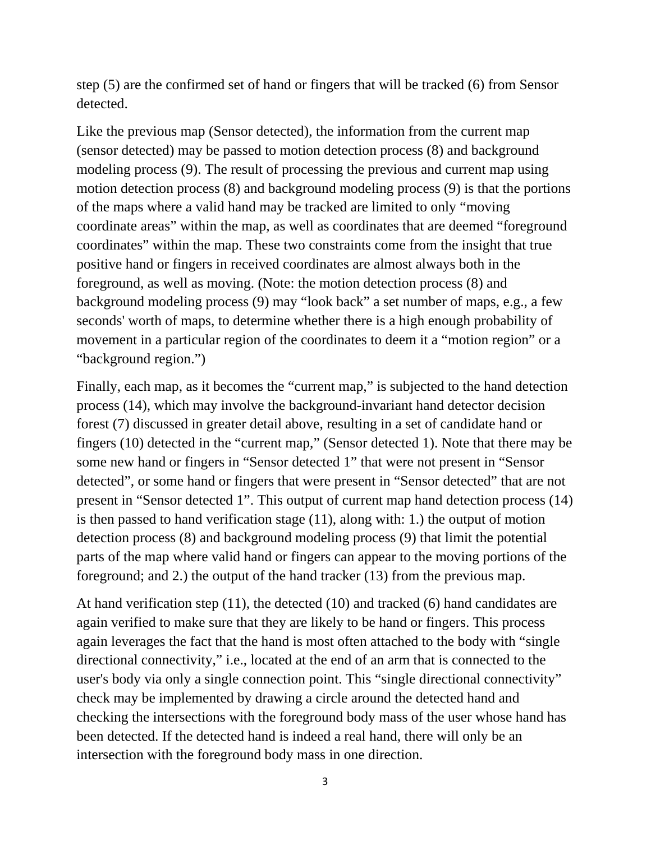step (5) are the confirmed set of hand or fingers that will be tracked (6) from Sensor detected.

Like the previous map (Sensor detected), the information from the current map (sensor detected) may be passed to motion detection process (8) and background modeling process (9). The result of processing the previous and current map using motion detection process (8) and background modeling process (9) is that the portions of the maps where a valid hand may be tracked are limited to only "moving coordinate areas" within the map, as well as coordinates that are deemed "foreground coordinates" within the map. These two constraints come from the insight that true positive hand or fingers in received coordinates are almost always both in the foreground, as well as moving. (Note: the motion detection process (8) and background modeling process (9) may "look back" a set number of maps, e.g., a few seconds' worth of maps, to determine whether there is a high enough probability of movement in a particular region of the coordinates to deem it a "motion region" or a "background region.")

Finally, each map, as it becomes the "current map," is subjected to the hand detection process (14), which may involve the background-invariant hand detector decision forest (7) discussed in greater detail above, resulting in a set of candidate hand or fingers (10) detected in the "current map," (Sensor detected 1). Note that there may be some new hand or fingers in "Sensor detected 1" that were not present in "Sensor detected", or some hand or fingers that were present in "Sensor detected" that are not present in "Sensor detected 1". This output of current map hand detection process (14) is then passed to hand verification stage (11), along with: 1.) the output of motion detection process (8) and background modeling process (9) that limit the potential parts of the map where valid hand or fingers can appear to the moving portions of the foreground; and 2.) the output of the hand tracker (13) from the previous map.

At hand verification step (11), the detected (10) and tracked (6) hand candidates are again verified to make sure that they are likely to be hand or fingers. This process again leverages the fact that the hand is most often attached to the body with "single directional connectivity," i.e., located at the end of an arm that is connected to the user's body via only a single connection point. This "single directional connectivity" check may be implemented by drawing a circle around the detected hand and checking the intersections with the foreground body mass of the user whose hand has been detected. If the detected hand is indeed a real hand, there will only be an intersection with the foreground body mass in one direction.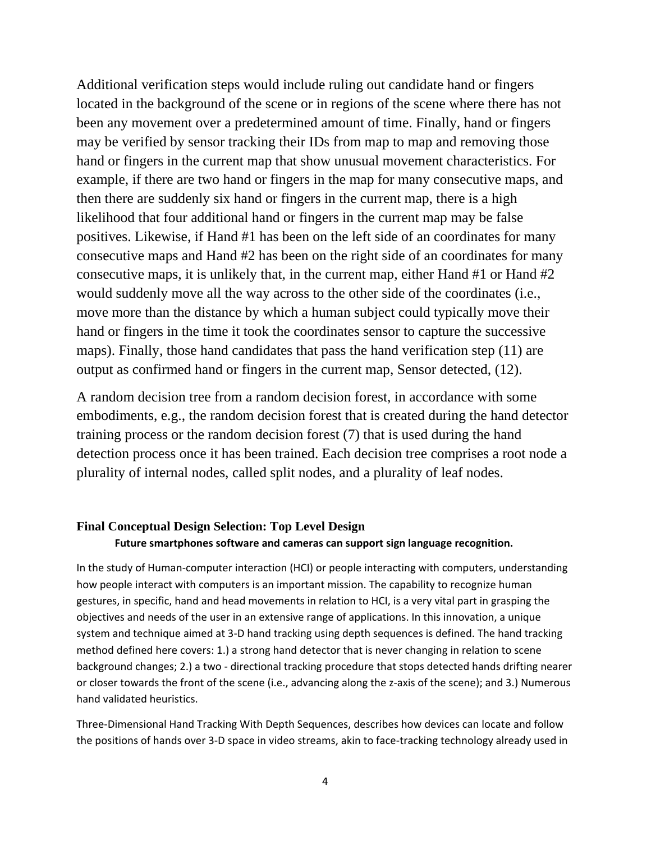Additional verification steps would include ruling out candidate hand or fingers located in the background of the scene or in regions of the scene where there has not been any movement over a predetermined amount of time. Finally, hand or fingers may be verified by sensor tracking their IDs from map to map and removing those hand or fingers in the current map that show unusual movement characteristics. For example, if there are two hand or fingers in the map for many consecutive maps, and then there are suddenly six hand or fingers in the current map, there is a high likelihood that four additional hand or fingers in the current map may be false positives. Likewise, if Hand #1 has been on the left side of an coordinates for many consecutive maps and Hand #2 has been on the right side of an coordinates for many consecutive maps, it is unlikely that, in the current map, either Hand #1 or Hand #2 would suddenly move all the way across to the other side of the coordinates (i.e., move more than the distance by which a human subject could typically move their hand or fingers in the time it took the coordinates sensor to capture the successive maps). Finally, those hand candidates that pass the hand verification step (11) are output as confirmed hand or fingers in the current map, Sensor detected, (12).

A random decision tree from a random decision forest, in accordance with some embodiments, e.g., the random decision forest that is created during the hand detector training process or the random decision forest (7) that is used during the hand detection process once it has been trained. Each decision tree comprises a root node a plurality of internal nodes, called split nodes, and a plurality of leaf nodes.

## **Final Conceptual Design Selection: Top Level Design Future smartphones software and cameras can support sign language recognition.**

In the study of Human-computer interaction (HCI) or people interacting with computers, understanding how people interact with computers is an important mission. The capability to recognize human gestures, in specific, hand and head movements in relation to HCI, is a very vital part in grasping the objectives and needs of the user in an extensive range of applications. In this innovation, a unique system and technique aimed at 3-D hand tracking using depth sequences is defined. The hand tracking method defined here covers: 1.) a strong hand detector that is never changing in relation to scene background changes; 2.) a two - directional tracking procedure that stops detected hands drifting nearer or closer towards the front of the scene (i.e., advancing along the z-axis of the scene); and 3.) Numerous hand validated heuristics.

Three-Dimensional Hand Tracking With Depth Sequences, describes how devices can locate and follow the positions of hands over 3-D space in video streams, akin to face-tracking technology already used in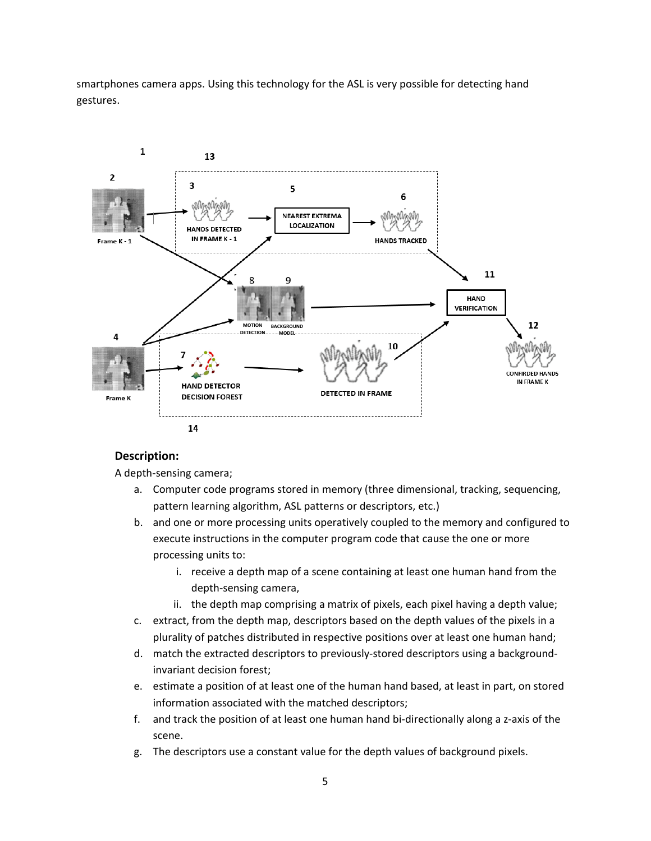smartphones camera apps. Using this technology for the ASL is very possible for detecting hand gestures.



## **Description:**

A depth-sensing camera;

- a. Computer code programs stored in memory (three dimensional, tracking, sequencing, pattern learning algorithm, ASL patterns or descriptors, etc.)
- b. and one or more processing units operatively coupled to the memory and configured to execute instructions in the computer program code that cause the one or more processing units to:
	- i. receive a depth map of a scene containing at least one human hand from the depth-sensing camera,
	- ii. the depth map comprising a matrix of pixels, each pixel having a depth value;
- c. extract, from the depth map, descriptors based on the depth values of the pixels in a plurality of patches distributed in respective positions over at least one human hand;
- d. match the extracted descriptors to previously-stored descriptors using a backgroundinvariant decision forest;
- e. estimate a position of at least one of the human hand based, at least in part, on stored information associated with the matched descriptors;
- f. and track the position of at least one human hand bi-directionally along a z-axis of the scene.
- g. The descriptors use a constant value for the depth values of background pixels.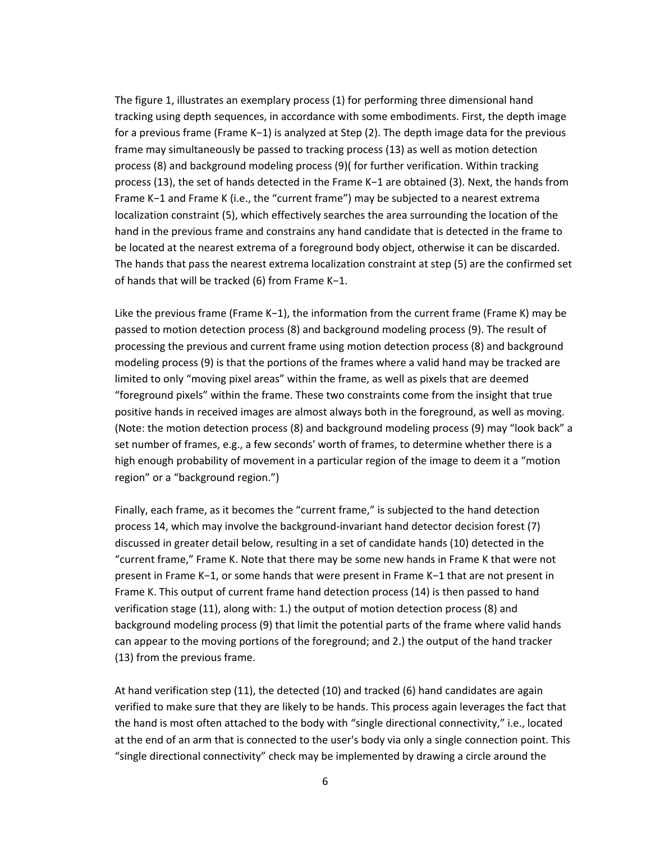The figure 1, illustrates an exemplary process (1) for performing three dimensional hand tracking using depth sequences, in accordance with some embodiments. First, the depth image for a previous frame (Frame K−1) is analyzed at Step (2). The depth image data for the previous frame may simultaneously be passed to tracking process (13) as well as motion detection process (8) and background modeling process (9)( for further verification. Within tracking process (13), the set of hands detected in the Frame K−1 are obtained (3). Next, the hands from Frame K−1 and Frame K (i.e., the "current frame") may be subjected to a nearest extrema localization constraint (5), which effectively searches the area surrounding the location of the hand in the previous frame and constrains any hand candidate that is detected in the frame to be located at the nearest extrema of a foreground body object, otherwise it can be discarded. The hands that pass the nearest extrema localization constraint at step (5) are the confirmed set of hands that will be tracked (6) from Frame K−1.

Like the previous frame (Frame K−1), the information from the current frame (Frame K) may be passed to motion detection process (8) and background modeling process (9). The result of processing the previous and current frame using motion detection process (8) and background modeling process (9) is that the portions of the frames where a valid hand may be tracked are limited to only "moving pixel areas" within the frame, as well as pixels that are deemed "foreground pixels" within the frame. These two constraints come from the insight that true positive hands in received images are almost always both in the foreground, as well as moving. (Note: the motion detection process (8) and background modeling process (9) may "look back" a set number of frames, e.g., a few seconds' worth of frames, to determine whether there is a high enough probability of movement in a particular region of the image to deem it a "motion region" or a "background region.")

Finally, each frame, as it becomes the "current frame," is subjected to the hand detection process 14, which may involve the background-invariant hand detector decision forest (7) discussed in greater detail below, resulting in a set of candidate hands (10) detected in the "current frame," Frame K. Note that there may be some new hands in Frame K that were not present in Frame K−1, or some hands that were present in Frame K−1 that are not present in Frame K. This output of current frame hand detection process (14) is then passed to hand verification stage (11), along with: 1.) the output of motion detection process (8) and background modeling process (9) that limit the potential parts of the frame where valid hands can appear to the moving portions of the foreground; and 2.) the output of the hand tracker (13) from the previous frame.

At hand verification step (11), the detected (10) and tracked (6) hand candidates are again verified to make sure that they are likely to be hands. This process again leverages the fact that the hand is most often attached to the body with "single directional connectivity," i.e., located at the end of an arm that is connected to the user's body via only a single connection point. This "single directional connectivity" check may be implemented by drawing a circle around the